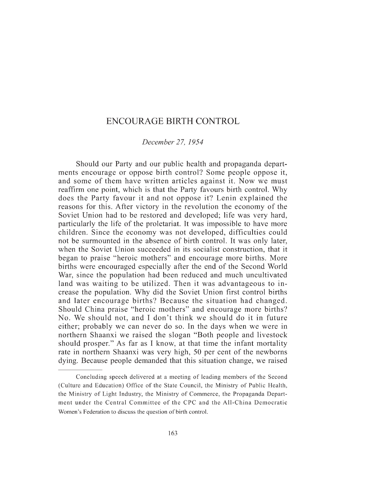## ENCOURAGE BIRTH CONTROL

## *December 27, 1954*

Should our Party and our public health and propaganda departments encourage or oppose birth control? Some people oppose it, and some of them have written articles against it. Now we must reaffirm one point, which is that the Party favours birth control. Why does the Party favour it and not oppose it? Lenin explained the reasons for this. After victory in the revolution the economy of the Soviet Union had to be restored and developed; life was very hard, particularly the life of the proletariat. It was impossible to have more children. Since the economy was not developed, difficulties could not be surmounted in the absence of birth control. It was only later, when the Soviet Union succeeded in its socialist construction, that it began to praise "heroic mothers" and encourage more births. More births were encouraged especially after the end of the Second World War, since the population had been reduced and much uncultivated land was waiting to be utilized. Then it was advantageous to increase the population. Why did the Soviet Union first control births and later encourage births? Because the situation had changed. Should China praise "heroic mothers" and encourage more births? No. We should not, and I don't think we should do it in future either; probably we can never do so. In the days when we were in northern Shaanxi we raised the slogan "Both people and livestock should prosper." As far as I know, at that time the infant mortality rate in northern Shaanxi was very high, 50 per cent of the newborns dying. Because people demanded that this situation change, we raised

Concluding speech delivered at a meeting of leading members of the Second (Culture and Education) Office of the State Council, the Ministry of Public Health, the Ministry of Light Industry, the Ministry of Commerce, the Propaganda Department under the Central Committee of the CPC and the All-China Democratic Women's Federation to discuss the question of birth control.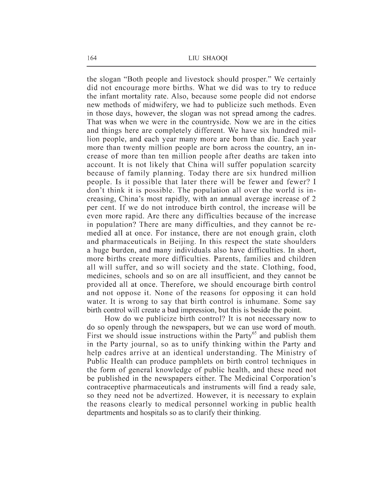the slogan "Both people and livestock should prosper." We certainly did not encourage more births. What we did was to try to reduce the infant mortality rate. Also, because some people did not endorse new methods of midwifery, we had to publicize such methods. Even in those days, however, the slogan was not spread among the cadres. That was when we were in the countryside. Now we are in the cities and things here are completely different. We have six hundred million people, and each year many more are born than die. Each year more than twenty million people are born across the country, an increase of more than ten million people after deaths are taken into account. It is not likely that China will suffer population scarcity because of family planning. Today there are six hundred million people. Is it possible that later there will be fewer and fewer? I don't think it is possible. The population all over the world is increasing, China's most rapidly, with an annual average increase of 2 per cent. If we do not introduce birth control, the increase will be even more rapid. Are there any difficulties because of the increase in population? There are many difficulties, and they cannot be remedied all at once. For instance, there are not enough grain, cloth and pharmaceuticals in Beijing. In this respect the state shoulders a huge burden, and many individuals also have difficulties. In short, more births create more difficulties. Parents, families and children all will suffer, and so will society and the state. Clothing, food, medicines, schools and so on are all insufficient, and they cannot be provided all at once. Therefore, we should encourage birth control and not oppose it. None of the reasons for opposing it can hold water. It is wrong to say that birth control is inhumane. Some say birth control will create a bad impression, but this is beside the point.

How do we publicize birth control? It is not necessary now to do so openly through the newspapers, but we can use word of mouth. First we should issue instructions within the Party<sup> $65$ </sup> and publish them in the Party journal, so as to unify thinking within the Party and help cadres arrive at an identical understanding. The Ministry of Public Health can produce pamphlets on birth control techniques in the form of general knowledge of public health, and these need not be published in the newspapers either. The Medicinal Corporation's contraceptive pharmaceuticals and instruments will find a ready sale, so they need not be advertized. However, it is necessary to explain the reasons clearly to medical personnel working in public health departments and hospitals so as to clarify their thinking.